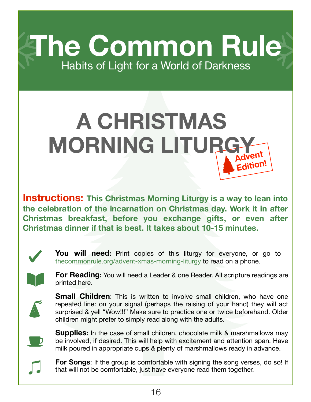**The Common Rule** Habits of Light for a World of Darkness

## **Advent Edition! A CHRISTMAS MORNING LITURGY**

**Instructions: This Christmas Morning Liturgy is a way to lean into the celebration of the incarnation on Christmas day. Work it in after Christmas breakfast, before you exchange gifts, or even after Christmas dinner if that is best. It takes about 10-15 minutes.**



**You will need:** Print copies of this liturgy for everyone, or go to [thecommonrule.org/advent-xmas-morning-liturgy](https://www.thecommonrule.org/advent-xmas-morning-liturgy) to read on a phone.



**For Reading:** You will need a Leader & one Reader. All scripture readings are printed here.



**Small Children**: This is written to involve small children, who have one repeated line: on your signal (perhaps the raising of your hand) they will act surprised & yell "Wow!!!" Make sure to practice one or twice beforehand. Older children might prefer to simply read along with the adults.



**Supplies:** In the case of small children, chocolate milk & marshmallows may be involved, if desired. This will help with excitement and attention span. Have milk poured in appropriate cups & plenty of marshmallows ready in advance.



**For Songs:** If the group is comfortable with signing the song verses, do so! If that will not be comfortable, just have everyone read them together.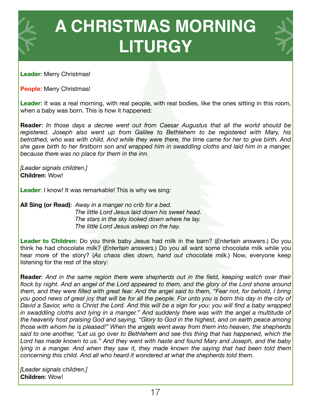

**Leader**: Merry Christmas!

**People**: Merry Christmas!

**Leader**: It was a real morning, with real people, with real bodies, like the ones sitting in this room, when a baby was born. This is how it happened:

**Reader**: *In those days a decree went out from Caesar Augustus that all the world should be registered. Joseph also went up from Galilee to Bethlehem to be registered with Mary, his betrothed, who was with child. And while they were there, the time came for her to give birth. And she gave birth to her firstborn son and wrapped him in swaddling cloths and laid him in a manger, because there was no place for them in the inn.* 

*[Leader signals children.]* **Children**: Wow!

**Leader**: I know! It was remarkable! This is why we sing:

**All Sing (or Read)**: *Away in a manger no crib for a bed. The little Lord Jesus laid down his sweet head. The stars in the sky looked down where he lay. The little Lord Jesus asleep on the hay.* 

**Leader to Children**: Do you think baby Jesus had milk in the barn? (*Entertain answers*.) Do you think he had chocolate milk? (*Entertain answers.*) Do you all want some chocolate milk while you hear more of the story? (*As chaos dies down, hand out chocolate milk*.) Now, everyone keep listening for the rest of the story:

**Reader**: *And in the same region there were shepherds out in the field, keeping watch over their*  flock by night. And an angel of the Lord appeared to them, and the glory of the Lord shone around *them, and they were filled with great fear. And the angel said to them, "Fear not, for behold, I bring you good news of great joy that will be for all the people. For unto you is born this day in the city of David a Savior, who is Christ the Lord. And this will be a sign for you: you will find a baby wrapped*  in swaddling cloths and lying in a manger." And suddenly there was with the angel a multitude of *the heavenly host praising God and saying, "Glory to God in the highest, and on earth peace among those with whom he is pleased!" When the angels went away from them into heaven, the shepherds said to one another, "Let us go over to Bethlehem and see this thing that has happened, which the Lord has made known to us." And they went with haste and found Mary and Joseph, and the baby lying in a manger. And when they saw it, they made known the saying that had been told them concerning this child. And all who heard it wondered at what the shepherds told them.*

*[Leader signals children.]*  **Children**: Wow!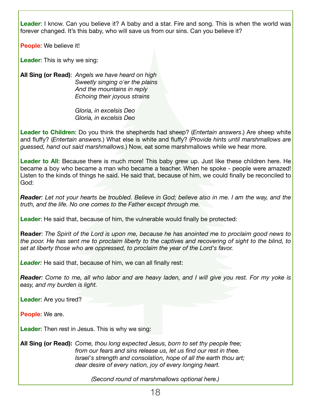**Leader**: I know. Can you believe it? A baby and a star. Fire and song. This is when the world was forever changed. It's this baby, who will save us from our sins. Can you believe it?

**People**: We believe it!

**Leader**: This is why we sing:

**All Sing (or Read)**: *Angels we have heard on high Sweetly singing o'er the plains And the mountains in reply Echoing their joyous strains* 

> *Gloria, in excelsis Deo Gloria, in excelsis Deo*

**Leader to Children**: Do you think the shepherds had sheep? (*Entertain answers*.) Are sheep white and fluffy? (*Entertain answers.*) What else is white and fluffy? (*Provide hints until marshmallows are guessed, hand out said marshmallows*.) Now, eat some marshmallows while we hear more.

Leader to All: Because there is much more! This baby grew up. Just like these children here. He became a boy who became a man who became a teacher. When he spoke - people were amazed! Listen to the kinds of things he said. He said that, because of him, we could finally be reconciled to God:

*Reader: Let not your hearts be troubled. Believe in God; believe also in me. I am the way, and the truth, and the life. No one comes to the Father except through me.* 

**Leader**: He said that, because of him, the vulnerable would finally be protected:

**Reader**: *The Spirit of the Lord is upon me, because he has anointed me to proclaim good news to the poor. He has sent me to proclaim liberty to the captives and recovering of sight to the blind, to set at liberty those who are oppressed, to proclaim the year of the Lord's favor.* 

**Leader**: He said that, because of him, we can all finally rest:

*Reader: Come to me, all who labor and are heavy laden, and I will give you rest. For my yoke is easy, and my burden is light.* 

**Leader**: Are you tired?

**People**: We are.

**Leader**: Then rest in Jesus. This is why we sing:

**All Sing (or Read):** *Come, thou long expected Jesus, born to set thy people free; from our fears and sins release us, let us find our rest in thee. Israel's strength and consolation, hope of all the earth thou art; dear desire of every nation, joy of every longing heart.* 

*(Second round of marshmallows optional here.)*